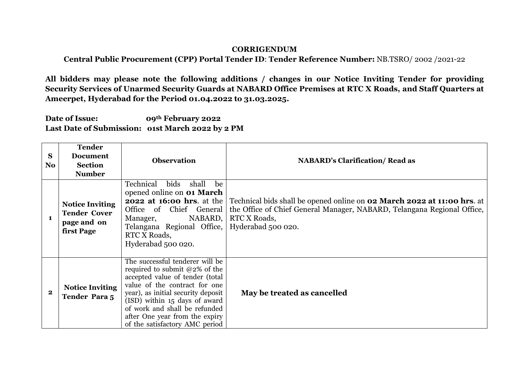## **CORRIGENDUM**

**Central Public Procurement (CPP) Portal Tender ID**: **Tender Reference Number:** NB.TSRO/ 2002 /2021-22

**All bidders may please note the following additions / changes in our Notice Inviting Tender for providing Security Services of Unarmed Security Guards at NABARD Office Premises at RTC X Roads, and Staff Quarters at Ameerpet, Hyderabad for the Period 01.04.2022 to 31.03.2025.**

**Date of Issue: 09th February 2022 Last Date of Submission: o1st March 2022 by 2 PM**

| S<br>N <sub>o</sub> | <b>Tender</b><br><b>Document</b><br><b>Section</b><br><b>Number</b>        | <b>Observation</b>                                                                                                                                                                                                                                                                                                  | <b>NABARD's Clarification/ Read as</b>                                                                                                                                                          |
|---------------------|----------------------------------------------------------------------------|---------------------------------------------------------------------------------------------------------------------------------------------------------------------------------------------------------------------------------------------------------------------------------------------------------------------|-------------------------------------------------------------------------------------------------------------------------------------------------------------------------------------------------|
| $\mathbf{1}$        | <b>Notice Inviting</b><br><b>Tender Cover</b><br>page and on<br>first Page | Technical<br>bids<br>shall<br>be<br>opened online on <b>01 March</b><br><b>2022 at 16:00 hrs.</b> at the<br>Office of Chief General<br>NABARD,<br>Manager,<br>Telangana Regional Office,<br>RTC X Roads,<br>Hyderabad 500 020.                                                                                      | Technical bids shall be opened online on <b>02 March 2022 at 11:00 hrs.</b> at<br>the Office of Chief General Manager, NABARD, Telangana Regional Office,<br>RTC X Roads,<br>Hyderabad 500 020. |
| $\bf{2}$            | <b>Notice Inviting</b><br><b>Tender Para 5</b>                             | The successful tenderer will be<br>required to submit $@2\%$ of the<br>accepted value of tender (total<br>value of the contract for one<br>year), as initial security deposit<br>(ISD) within 15 days of award<br>of work and shall be refunded<br>after One year from the expiry<br>of the satisfactory AMC period | May be treated as cancelled                                                                                                                                                                     |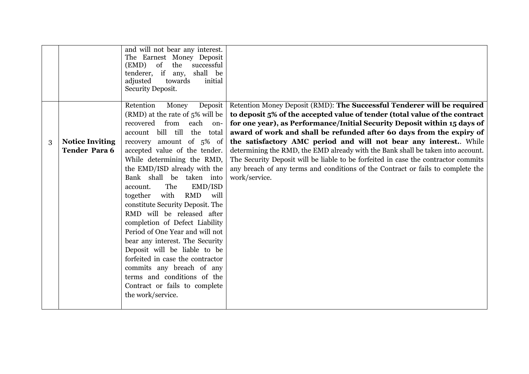|   |                        | and will not bear any interest.<br>The Earnest Money Deposit<br>the<br>$(EMD)$ of<br>successful<br>tenderer, if any,<br>shall be<br>adjusted<br>towards<br>initial<br>Security Deposit. |                                                                                                                                                                 |
|---|------------------------|-----------------------------------------------------------------------------------------------------------------------------------------------------------------------------------------|-----------------------------------------------------------------------------------------------------------------------------------------------------------------|
|   |                        | Retention<br>Money<br>(RMD) at the rate of $5\%$ will be                                                                                                                                | Deposit   Retention Money Deposit (RMD): The Successful Tenderer will be required<br>to deposit 5% of the accepted value of tender (total value of the contract |
|   |                        | from<br>each<br>recovered<br>on-                                                                                                                                                        | for one year), as Performance/Initial Security Deposit within 15 days of                                                                                        |
|   |                        | bill till<br>the total<br>account                                                                                                                                                       | award of work and shall be refunded after 60 days from the expiry of                                                                                            |
| 3 | <b>Notice Inviting</b> | recovery amount of 5% of                                                                                                                                                                | the satisfactory AMC period and will not bear any interest While                                                                                                |
|   | <b>Tender Para 6</b>   | accepted value of the tender.                                                                                                                                                           | determining the RMD, the EMD already with the Bank shall be taken into account.                                                                                 |
|   |                        | While determining the RMD,                                                                                                                                                              | The Security Deposit will be liable to be forfeited in case the contractor commits                                                                              |
|   |                        | the EMD/ISD already with the                                                                                                                                                            | any breach of any terms and conditions of the Contract or fails to complete the                                                                                 |
|   |                        | Bank shall be taken into                                                                                                                                                                | work/service.                                                                                                                                                   |
|   |                        | The<br>EMD/ISD<br>account.                                                                                                                                                              |                                                                                                                                                                 |
|   |                        | with<br><b>RMD</b><br>together<br>will                                                                                                                                                  |                                                                                                                                                                 |
|   |                        | constitute Security Deposit. The                                                                                                                                                        |                                                                                                                                                                 |
|   |                        | RMD will be released after                                                                                                                                                              |                                                                                                                                                                 |
|   |                        | completion of Defect Liability                                                                                                                                                          |                                                                                                                                                                 |
|   |                        | Period of One Year and will not                                                                                                                                                         |                                                                                                                                                                 |
|   |                        | bear any interest. The Security<br>Deposit will be liable to be                                                                                                                         |                                                                                                                                                                 |
|   |                        | forfeited in case the contractor                                                                                                                                                        |                                                                                                                                                                 |
|   |                        | commits any breach of any                                                                                                                                                               |                                                                                                                                                                 |
|   |                        | terms and conditions of the                                                                                                                                                             |                                                                                                                                                                 |
|   |                        | Contract or fails to complete                                                                                                                                                           |                                                                                                                                                                 |
|   |                        | the work/service.                                                                                                                                                                       |                                                                                                                                                                 |
|   |                        |                                                                                                                                                                                         |                                                                                                                                                                 |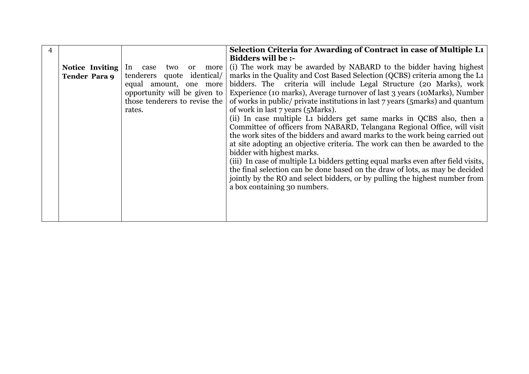| 4 |                      |                               | Selection Criteria for Awarding of Contract in case of Multiple L1                                      |  |  |  |  |
|---|----------------------|-------------------------------|---------------------------------------------------------------------------------------------------------|--|--|--|--|
|   |                      |                               | <b>Bidders will be :-</b>                                                                               |  |  |  |  |
|   | Notice Inviting      | two<br>In case                | or more (i) The work may be awarded by NABARD to the bidder having highest                              |  |  |  |  |
|   | <b>Tender Para 9</b> |                               | tenderers quote identical/   marks in the Quality and Cost Based Selection (QCBS) criteria among the L1 |  |  |  |  |
|   |                      | equal amount, one more        | bidders. The criteria will include Legal Structure (20 Marks), work                                     |  |  |  |  |
|   |                      | opportunity will be given to  | Experience (10 marks), Average turnover of last 3 years (10 Marks), Number                              |  |  |  |  |
|   |                      | those tenderers to revise the | of works in public/ private institutions in last 7 years (5marks) and quantum                           |  |  |  |  |
|   |                      | rates.                        | of work in last 7 years (5 Marks).                                                                      |  |  |  |  |
|   |                      |                               | (ii) In case multiple L1 bidders get same marks in QCBS also, then a                                    |  |  |  |  |
|   |                      |                               | Committee of officers from NABARD, Telangana Regional Office, will visit                                |  |  |  |  |
|   |                      |                               | the work sites of the bidders and award marks to the work being carried out                             |  |  |  |  |
|   |                      |                               | at site adopting an objective criteria. The work can then be awarded to the                             |  |  |  |  |
|   |                      |                               | bidder with highest marks.                                                                              |  |  |  |  |
|   |                      |                               | (iii) In case of multiple L1 bidders getting equal marks even after field visits,                       |  |  |  |  |
|   |                      |                               | the final selection can be done based on the draw of lots, as may be decided                            |  |  |  |  |
|   |                      |                               | jointly by the RO and select bidders, or by pulling the highest number from                             |  |  |  |  |
|   |                      |                               | a box containing 30 numbers.                                                                            |  |  |  |  |
|   |                      |                               |                                                                                                         |  |  |  |  |
|   |                      |                               |                                                                                                         |  |  |  |  |
|   |                      |                               |                                                                                                         |  |  |  |  |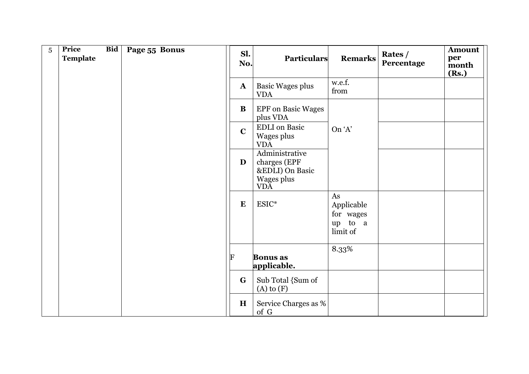| 5 | Price<br><b>Template</b> | <b>Bid</b> | Page 55 Bonus | Sl.<br>No.   | <b>Particulars</b>                                                     | <b>Remarks</b>                                       | Rates /<br>Percentage | <b>Amount</b><br>per<br>month<br>(Rs.) |
|---|--------------------------|------------|---------------|--------------|------------------------------------------------------------------------|------------------------------------------------------|-----------------------|----------------------------------------|
|   |                          |            |               | $\mathbf{A}$ | <b>Basic Wages plus</b><br><b>VDA</b>                                  | w.e.f.<br>from                                       |                       |                                        |
|   |                          |            |               | B            | <b>EPF</b> on Basic Wages<br>plus VDA                                  |                                                      |                       |                                        |
|   |                          |            |               | $\mathbf C$  | <b>EDLI</b> on Basic<br>Wages plus<br><b>VDA</b>                       | On 'A'                                               |                       |                                        |
|   |                          |            |               | D            | Administrative<br>charges (EPF<br>&EDLI) On Basic<br>Wages plus<br>VDĀ |                                                      |                       |                                        |
|   |                          |            |               | $\bf{E}$     | ESIC*                                                                  | As<br>Applicable<br>for wages<br>up to a<br>limit of |                       |                                        |
|   |                          |            |               | F            | <b>Bonus</b> as<br>applicable.                                         | 8.33%                                                |                       |                                        |
|   |                          |            |               | G            | Sub Total {Sum of<br>$(A)$ to $(F)$                                    |                                                      |                       |                                        |
|   |                          |            |               | H            | Service Charges as %<br>of $G$                                         |                                                      |                       |                                        |